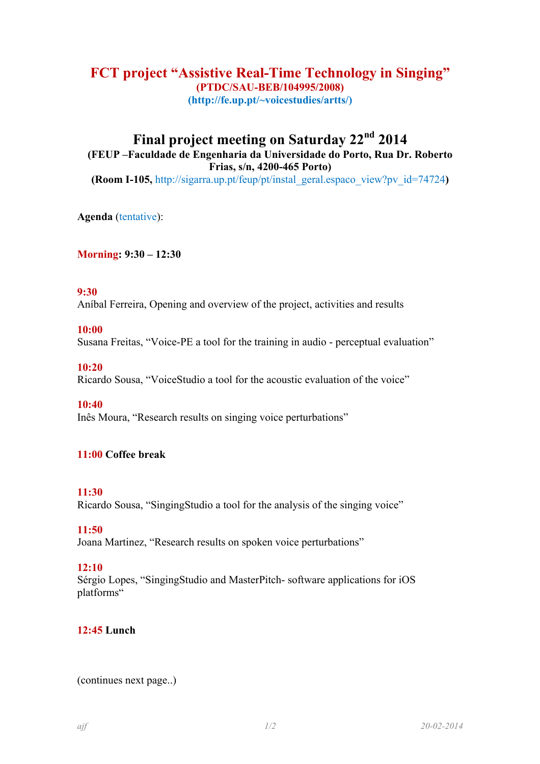# **FCT project "Assistive Real-Time Technology in Singing" (PTDC/SAU-BEB/104995/2008) (http://fe.up.pt/~voicestudies/artts/)**

# **Final project meeting on Saturday 22nd 2014 (FEUP –Faculdade de Engenharia da Universidade do Porto, Rua Dr. Roberto Frias, s/n, 4200-465 Porto) (Room I-105,** http://sigarra.up.pt/feup/pt/instal\_geral.espaco\_view?pv\_id=74724**)**

**Agenda** (tentative):

**Morning: 9:30 – 12:30** 

## **9:30**

Aníbal Ferreira, Opening and overview of the project, activities and results

# **10:00**

Susana Freitas, "Voice-PE a tool for the training in audio - perceptual evaluation"

## **10:20**

Ricardo Sousa, "VoiceStudio a tool for the acoustic evaluation of the voice"

#### **10:40**

Inês Moura, "Research results on singing voice perturbations"

# **11:00 Coffee break**

#### **11:30**

Ricardo Sousa, "SingingStudio a tool for the analysis of the singing voice"

#### **11:50**

Joana Martinez, "Research results on spoken voice perturbations"

#### **12:10**

Sérgio Lopes, "SingingStudio and MasterPitch- software applications for iOS platforms"

# **12:45 Lunch**

(continues next page..)